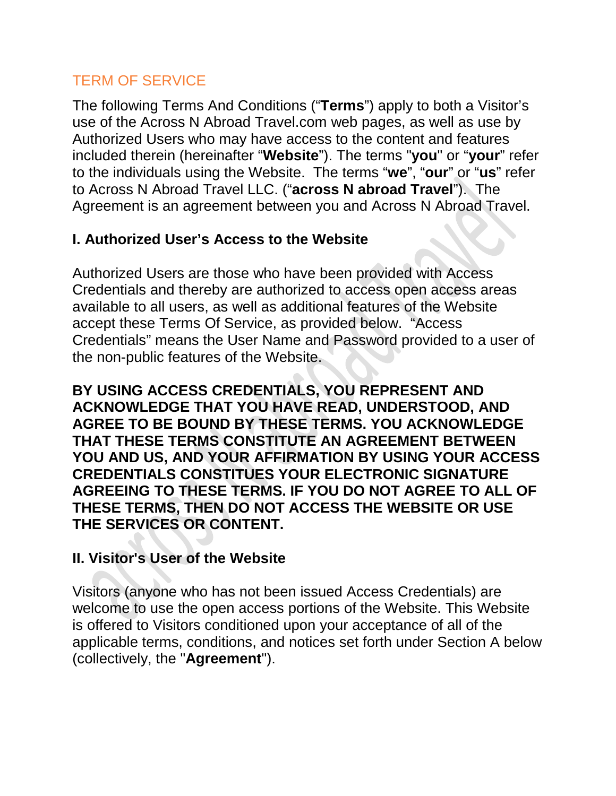## TERM OF SERVICE

The following Terms And Conditions ("**Terms**") apply to both a Visitor's use of the Across N Abroad Travel.com web pages, as well as use by Authorized Users who may have access to the content and features included therein (hereinafter "**Website**"). The terms "**you**" or "**your**" refer to the individuals using the Website. The terms "**we**", "**our**" or "**us**" refer to Across N Abroad Travel LLC. ("**across N abroad Travel**"). The Agreement is an agreement between you and Across N Abroad Travel.

# **I. Authorized User's Access to the Website**

Authorized Users are those who have been provided with Access Credentials and thereby are authorized to access open access areas available to all users, as well as additional features of the Website accept these Terms Of Service, as provided below. "Access Credentials" means the User Name and Password provided to a user of the non-public features of the Website.

**BY USING ACCESS CREDENTIALS, YOU REPRESENT AND ACKNOWLEDGE THAT YOU HAVE READ, UNDERSTOOD, AND AGREE TO BE BOUND BY THESE TERMS. YOU ACKNOWLEDGE THAT THESE TERMS CONSTITUTE AN AGREEMENT BETWEEN YOU AND US, AND YOUR AFFIRMATION BY USING YOUR ACCESS CREDENTIALS CONSTITUES YOUR ELECTRONIC SIGNATURE AGREEING TO THESE TERMS. IF YOU DO NOT AGREE TO ALL OF THESE TERMS, THEN DO NOT ACCESS THE WEBSITE OR USE THE SERVICES OR CONTENT.**

## **II. Visitor's User of the Website**

Visitors (anyone who has not been issued Access Credentials) are welcome to use the open access portions of the Website. This Website is offered to Visitors conditioned upon your acceptance of all of the applicable terms, conditions, and notices set forth under Section A below (collectively, the "**Agreement**").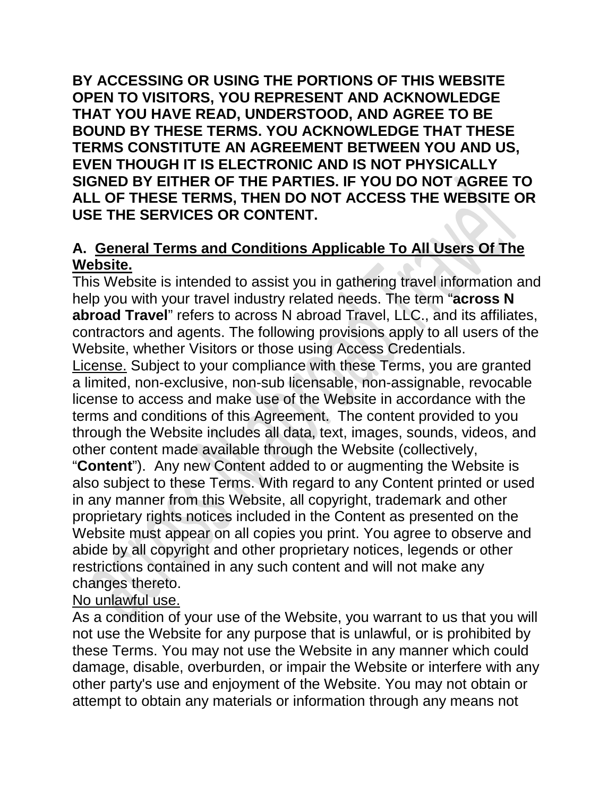**BY ACCESSING OR USING THE PORTIONS OF THIS WEBSITE OPEN TO VISITORS, YOU REPRESENT AND ACKNOWLEDGE THAT YOU HAVE READ, UNDERSTOOD, AND AGREE TO BE BOUND BY THESE TERMS. YOU ACKNOWLEDGE THAT THESE TERMS CONSTITUTE AN AGREEMENT BETWEEN YOU AND US, EVEN THOUGH IT IS ELECTRONIC AND IS NOT PHYSICALLY SIGNED BY EITHER OF THE PARTIES. IF YOU DO NOT AGREE TO ALL OF THESE TERMS, THEN DO NOT ACCESS THE WEBSITE OR USE THE SERVICES OR CONTENT.**

# **A. General Terms and Conditions Applicable To All Users Of The Website.**

This Website is intended to assist you in gathering travel information and help you with your travel industry related needs. The term "**across N abroad Travel**" refers to across N abroad Travel, LLC., and its affiliates, contractors and agents. The following provisions apply to all users of the Website, whether Visitors or those using Access Credentials.

License. Subject to your compliance with these Terms, you are granted a limited, non-exclusive, non-sub licensable, non-assignable, revocable license to access and make use of the Website in accordance with the terms and conditions of this Agreement. The content provided to you through the Website includes all data, text, images, sounds, videos, and other content made available through the Website (collectively,

"**Content**"). Any new Content added to or augmenting the Website is also subject to these Terms. With regard to any Content printed or used in any manner from this Website, all copyright, trademark and other proprietary rights notices included in the Content as presented on the Website must appear on all copies you print. You agree to observe and abide by all copyright and other proprietary notices, legends or other restrictions contained in any such content and will not make any changes thereto.

## No unlawful use.

As a condition of your use of the Website, you warrant to us that you will not use the Website for any purpose that is unlawful, or is prohibited by these Terms. You may not use the Website in any manner which could damage, disable, overburden, or impair the Website or interfere with any other party's use and enjoyment of the Website. You may not obtain or attempt to obtain any materials or information through any means not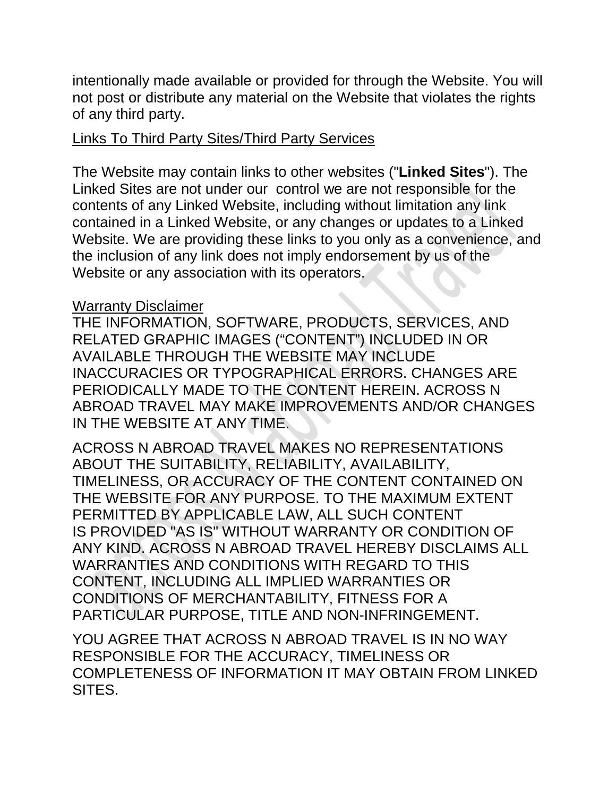intentionally made available or provided for through the Website. You will not post or distribute any material on the Website that violates the rights of any third party.

#### Links To Third Party Sites/Third Party Services

The Website may contain links to other websites ("**Linked Sites**"). The Linked Sites are not under our control we are not responsible for the contents of any Linked Website, including without limitation any link contained in a Linked Website, or any changes or updates to a Linked Website. We are providing these links to you only as a convenience, and the inclusion of any link does not imply endorsement by us of the Website or any association with its operators.

#### Warranty Disclaimer

THE INFORMATION, SOFTWARE, PRODUCTS, SERVICES, AND RELATED GRAPHIC IMAGES ("CONTENT") INCLUDED IN OR AVAILABLE THROUGH THE WEBSITE MAY INCLUDE INACCURACIES OR TYPOGRAPHICAL ERRORS. CHANGES ARE PERIODICALLY MADE TO THE CONTENT HEREIN. ACROSS N ABROAD TRAVEL MAY MAKE IMPROVEMENTS AND/OR CHANGES IN THE WEBSITE AT ANY TIME.

ACROSS N ABROAD TRAVEL MAKES NO REPRESENTATIONS ABOUT THE SUITABILITY, RELIABILITY, AVAILABILITY, TIMELINESS, OR ACCURACY OF THE CONTENT CONTAINED ON THE WEBSITE FOR ANY PURPOSE. TO THE MAXIMUM EXTENT PERMITTED BY APPLICABLE LAW, ALL SUCH CONTENT IS PROVIDED "AS IS" WITHOUT WARRANTY OR CONDITION OF ANY KIND. ACROSS N ABROAD TRAVEL HEREBY DISCLAIMS ALL WARRANTIES AND CONDITIONS WITH REGARD TO THIS CONTENT, INCLUDING ALL IMPLIED WARRANTIES OR CONDITIONS OF MERCHANTABILITY, FITNESS FOR A PARTICULAR PURPOSE, TITLE AND NON-INFRINGEMENT.

YOU AGREE THAT ACROSS N ABROAD TRAVEL IS IN NO WAY RESPONSIBLE FOR THE ACCURACY, TIMELINESS OR COMPLETENESS OF INFORMATION IT MAY OBTAIN FROM LINKED SITES.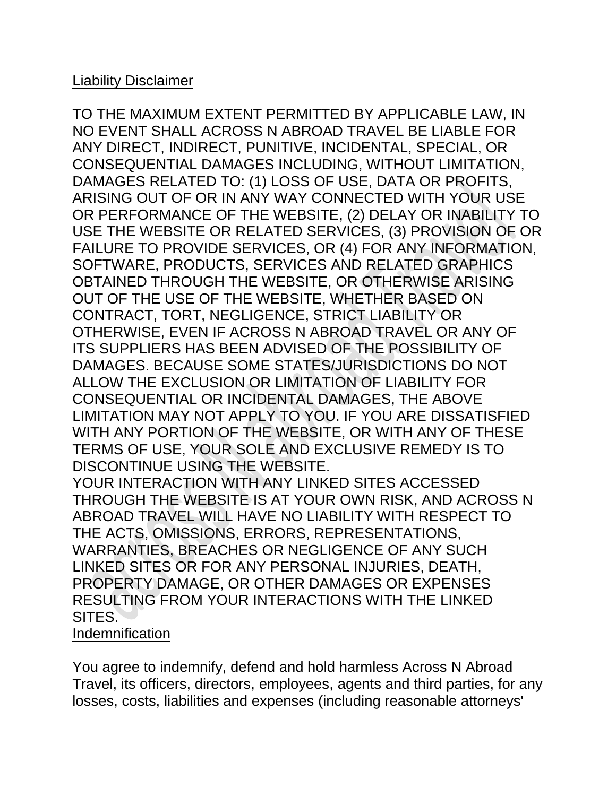### Liability Disclaimer

TO THE MAXIMUM EXTENT PERMITTED BY APPLICABLE LAW, IN NO EVENT SHALL ACROSS N ABROAD TRAVEL BE LIABLE FOR ANY DIRECT, INDIRECT, PUNITIVE, INCIDENTAL, SPECIAL, OR CONSEQUENTIAL DAMAGES INCLUDING, WITHOUT LIMITATION, DAMAGES RELATED TO: (1) LOSS OF USE, DATA OR PROFITS, ARISING OUT OF OR IN ANY WAY CONNECTED WITH YOUR USE OR PERFORMANCE OF THE WEBSITE, (2) DELAY OR INABILITY TO USE THE WEBSITE OR RELATED SERVICES, (3) PROVISION OF OR FAILURE TO PROVIDE SERVICES, OR (4) FOR ANY INFORMATION, SOFTWARE, PRODUCTS, SERVICES AND RELATED GRAPHICS OBTAINED THROUGH THE WEBSITE, OR OTHERWISE ARISING OUT OF THE USE OF THE WEBSITE, WHETHER BASED ON CONTRACT, TORT, NEGLIGENCE, STRICT LIABILITY OR OTHERWISE, EVEN IF ACROSS N ABROAD TRAVEL OR ANY OF ITS SUPPLIERS HAS BEEN ADVISED OF THE POSSIBILITY OF DAMAGES. BECAUSE SOME STATES/JURISDICTIONS DO NOT ALLOW THE EXCLUSION OR LIMITATION OF LIABILITY FOR CONSEQUENTIAL OR INCIDENTAL DAMAGES, THE ABOVE LIMITATION MAY NOT APPLY TO YOU. IF YOU ARE DISSATISFIED WITH ANY PORTION OF THE WEBSITE, OR WITH ANY OF THESE TERMS OF USE, YOUR SOLE AND EXCLUSIVE REMEDY IS TO DISCONTINUE USING THE WEBSITE. YOUR INTERACTION WITH ANY LINKED SITES ACCESSED THROUGH THE WEBSITE IS AT YOUR OWN RISK, AND ACROSS N ABROAD TRAVEL WILL HAVE NO LIABILITY WITH RESPECT TO THE ACTS, OMISSIONS, ERRORS, REPRESENTATIONS, WARRANTIES, BREACHES OR NEGLIGENCE OF ANY SUCH LINKED SITES OR FOR ANY PERSONAL INJURIES, DEATH, PROPERTY DAMAGE, OR OTHER DAMAGES OR EXPENSES RESULTING FROM YOUR INTERACTIONS WITH THE LINKED SITES.

#### Indemnification

You agree to indemnify, defend and hold harmless Across N Abroad Travel, its officers, directors, employees, agents and third parties, for any losses, costs, liabilities and expenses (including reasonable attorneys'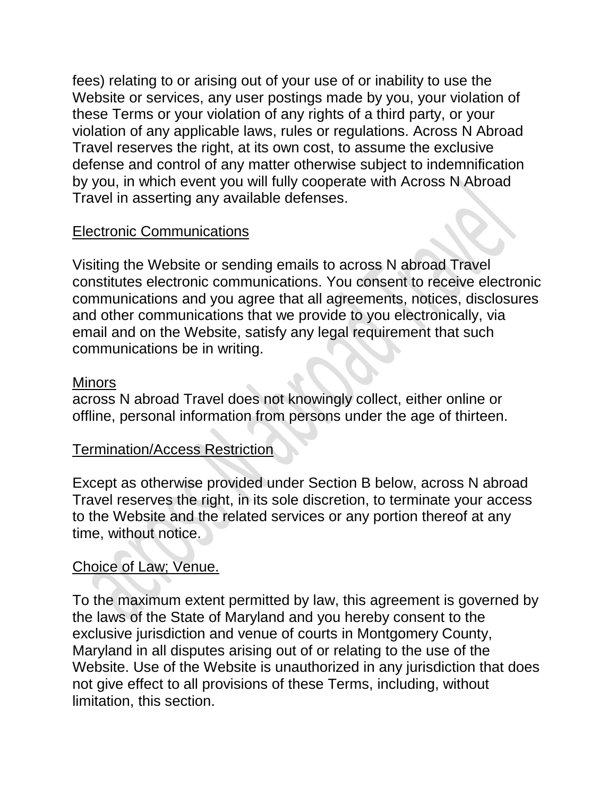fees) relating to or arising out of your use of or inability to use the Website or services, any user postings made by you, your violation of these Terms or your violation of any rights of a third party, or your violation of any applicable laws, rules or regulations. Across N Abroad Travel reserves the right, at its own cost, to assume the exclusive defense and control of any matter otherwise subject to indemnification by you, in which event you will fully cooperate with Across N Abroad Travel in asserting any available defenses.

## Electronic Communications

Visiting the Website or sending emails to across N abroad Travel constitutes electronic communications. You consent to receive electronic communications and you agree that all agreements, notices, disclosures and other communications that we provide to you electronically, via email and on the Website, satisfy any legal requirement that such communications be in writing.

### Minors

across N abroad Travel does not knowingly collect, either online or offline, personal information from persons under the age of thirteen.

### Termination/Access Restriction

Except as otherwise provided under Section B below, across N abroad Travel reserves the right, in its sole discretion, to terminate your access to the Website and the related services or any portion thereof at any time, without notice.

### Choice of Law; Venue.

To the maximum extent permitted by law, this agreement is governed by the laws of the State of Maryland and you hereby consent to the exclusive jurisdiction and venue of courts in Montgomery County, Maryland in all disputes arising out of or relating to the use of the Website. Use of the Website is unauthorized in any jurisdiction that does not give effect to all provisions of these Terms, including, without limitation, this section.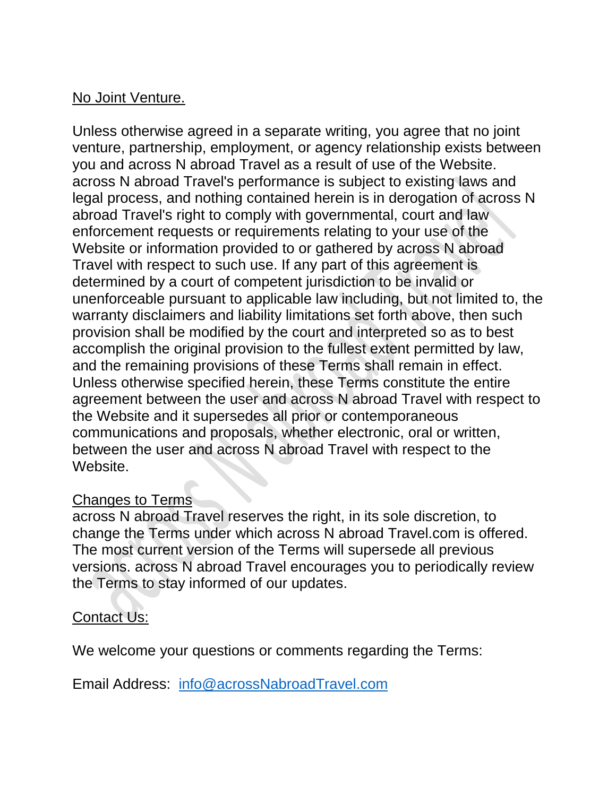### No Joint Venture.

Unless otherwise agreed in a separate writing, you agree that no joint venture, partnership, employment, or agency relationship exists between you and across N abroad Travel as a result of use of the Website. across N abroad Travel's performance is subject to existing laws and legal process, and nothing contained herein is in derogation of across N abroad Travel's right to comply with governmental, court and law enforcement requests or requirements relating to your use of the Website or information provided to or gathered by across N abroad Travel with respect to such use. If any part of this agreement is determined by a court of competent jurisdiction to be invalid or unenforceable pursuant to applicable law including, but not limited to, the warranty disclaimers and liability limitations set forth above, then such provision shall be modified by the court and interpreted so as to best accomplish the original provision to the fullest extent permitted by law, and the remaining provisions of these Terms shall remain in effect. Unless otherwise specified herein, these Terms constitute the entire agreement between the user and across N abroad Travel with respect to the Website and it supersedes all prior or contemporaneous communications and proposals, whether electronic, oral or written, between the user and across N abroad Travel with respect to the Website.

### Changes to Terms

across N abroad Travel reserves the right, in its sole discretion, to change the Terms under which across N abroad Travel.com is offered. The most current version of the Terms will supersede all previous versions. across N abroad Travel encourages you to periodically review the Terms to stay informed of our updates.

### Contact Us:

We welcome your questions or comments regarding the Terms:

Email Address: [info@acrossNabroadTravel.com](mailto:info@acrossNabroadTravel.com)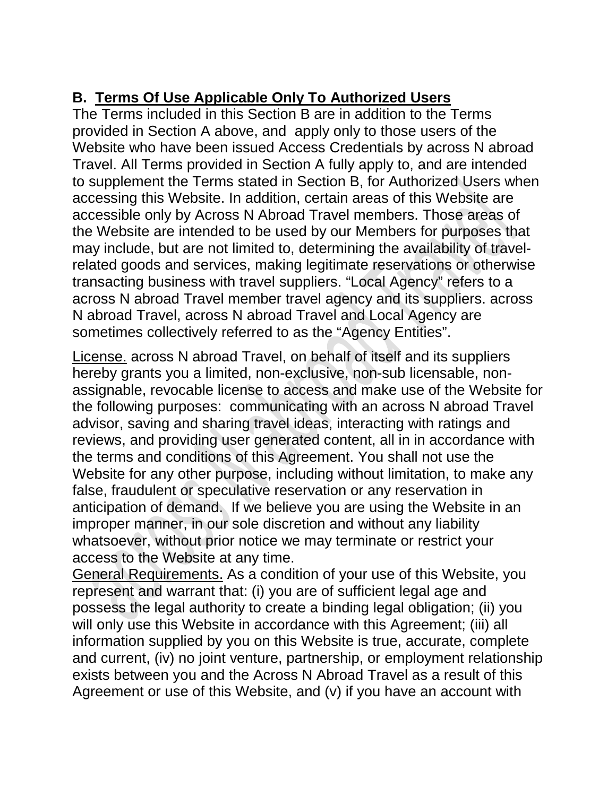# **B. Terms Of Use Applicable Only To Authorized Users**

The Terms included in this Section B are in addition to the Terms provided in Section A above, and apply only to those users of the Website who have been issued Access Credentials by across N abroad Travel. All Terms provided in Section A fully apply to, and are intended to supplement the Terms stated in Section B, for Authorized Users when accessing this Website. In addition, certain areas of this Website are accessible only by Across N Abroad Travel members. Those areas of the Website are intended to be used by our Members for purposes that may include, but are not limited to, determining the availability of travelrelated goods and services, making legitimate reservations or otherwise transacting business with travel suppliers. "Local Agency" refers to a across N abroad Travel member travel agency and its suppliers. across N abroad Travel, across N abroad Travel and Local Agency are sometimes collectively referred to as the "Agency Entities".

License. across N abroad Travel, on behalf of itself and its suppliers hereby grants you a limited, non-exclusive, non-sub licensable, nonassignable, revocable license to access and make use of the Website for the following purposes: communicating with an across N abroad Travel advisor, saving and sharing travel ideas, interacting with ratings and reviews, and providing user generated content, all in in accordance with the terms and conditions of this Agreement. You shall not use the Website for any other purpose, including without limitation, to make any false, fraudulent or speculative reservation or any reservation in anticipation of demand. If we believe you are using the Website in an improper manner, in our sole discretion and without any liability whatsoever, without prior notice we may terminate or restrict your access to the Website at any time.

General Requirements. As a condition of your use of this Website, you represent and warrant that: (i) you are of sufficient legal age and possess the legal authority to create a binding legal obligation; (ii) you will only use this Website in accordance with this Agreement; (iii) all information supplied by you on this Website is true, accurate, complete and current, (iv) no joint venture, partnership, or employment relationship exists between you and the Across N Abroad Travel as a result of this Agreement or use of this Website, and (v) if you have an account with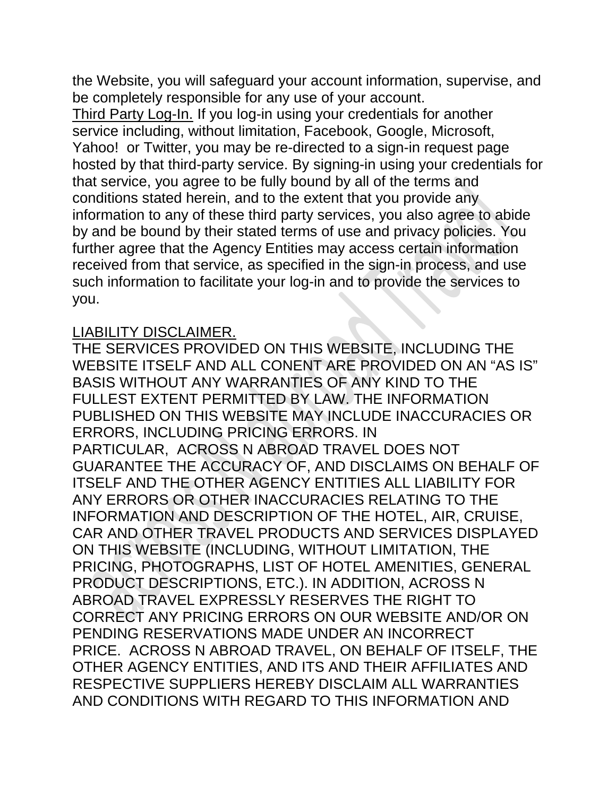the Website, you will safeguard your account information, supervise, and be completely responsible for any use of your account.

Third Party Log-In. If you log-in using your credentials for another service including, without limitation, Facebook, Google, Microsoft, Yahoo! or Twitter, you may be re-directed to a sign-in request page hosted by that third-party service. By signing-in using your credentials for that service, you agree to be fully bound by all of the terms and conditions stated herein, and to the extent that you provide any information to any of these third party services, you also agree to abide by and be bound by their stated terms of use and privacy policies. You further agree that the Agency Entities may access certain information received from that service, as specified in the sign-in process, and use such information to facilitate your log-in and to provide the services to you.

#### LIABILITY DISCLAIMER.

THE SERVICES PROVIDED ON THIS WEBSITE, INCLUDING THE WEBSITE ITSELF AND ALL CONENT ARE PROVIDED ON AN "AS IS" BASIS WITHOUT ANY WARRANTIES OF ANY KIND TO THE FULLEST EXTENT PERMITTED BY LAW. THE INFORMATION PUBLISHED ON THIS WEBSITE MAY INCLUDE INACCURACIES OR ERRORS, INCLUDING PRICING ERRORS. IN PARTICULAR, ACROSS N ABROAD TRAVEL DOES NOT GUARANTEE THE ACCURACY OF, AND DISCLAIMS ON BEHALF OF ITSELF AND THE OTHER AGENCY ENTITIES ALL LIABILITY FOR ANY ERRORS OR OTHER INACCURACIES RELATING TO THE INFORMATION AND DESCRIPTION OF THE HOTEL, AIR, CRUISE, CAR AND OTHER TRAVEL PRODUCTS AND SERVICES DISPLAYED ON THIS WEBSITE (INCLUDING, WITHOUT LIMITATION, THE PRICING, PHOTOGRAPHS, LIST OF HOTEL AMENITIES, GENERAL PRODUCT DESCRIPTIONS, ETC.). IN ADDITION, ACROSS N ABROAD TRAVEL EXPRESSLY RESERVES THE RIGHT TO CORRECT ANY PRICING ERRORS ON OUR WEBSITE AND/OR ON PENDING RESERVATIONS MADE UNDER AN INCORRECT PRICE. ACROSS N ABROAD TRAVEL, ON BEHALF OF ITSELF, THE OTHER AGENCY ENTITIES, AND ITS AND THEIR AFFILIATES AND RESPECTIVE SUPPLIERS HEREBY DISCLAIM ALL WARRANTIES AND CONDITIONS WITH REGARD TO THIS INFORMATION AND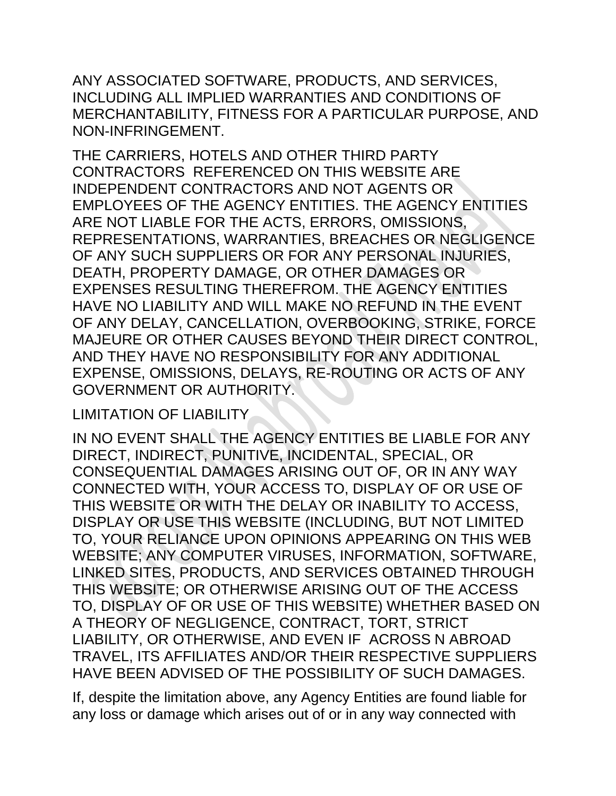ANY ASSOCIATED SOFTWARE, PRODUCTS, AND SERVICES, INCLUDING ALL IMPLIED WARRANTIES AND CONDITIONS OF MERCHANTABILITY, FITNESS FOR A PARTICULAR PURPOSE, AND NON-INFRINGEMENT.

THE CARRIERS, HOTELS AND OTHER THIRD PARTY CONTRACTORS REFERENCED ON THIS WEBSITE ARE INDEPENDENT CONTRACTORS AND NOT AGENTS OR EMPLOYEES OF THE AGENCY ENTITIES. THE AGENCY ENTITIES ARE NOT LIABLE FOR THE ACTS, ERRORS, OMISSIONS, REPRESENTATIONS, WARRANTIES, BREACHES OR NEGLIGENCE OF ANY SUCH SUPPLIERS OR FOR ANY PERSONAL INJURIES, DEATH, PROPERTY DAMAGE, OR OTHER DAMAGES OR EXPENSES RESULTING THEREFROM. THE AGENCY ENTITIES HAVE NO LIABILITY AND WILL MAKE NO REFUND IN THE EVENT OF ANY DELAY, CANCELLATION, OVERBOOKING, STRIKE, FORCE MAJEURE OR OTHER CAUSES BEYOND THEIR DIRECT CONTROL, AND THEY HAVE NO RESPONSIBILITY FOR ANY ADDITIONAL EXPENSE, OMISSIONS, DELAYS, RE-ROUTING OR ACTS OF ANY GOVERNMENT OR AUTHORITY.

### LIMITATION OF LIABILITY

IN NO EVENT SHALL THE AGENCY ENTITIES BE LIABLE FOR ANY DIRECT, INDIRECT, PUNITIVE, INCIDENTAL, SPECIAL, OR CONSEQUENTIAL DAMAGES ARISING OUT OF, OR IN ANY WAY CONNECTED WITH, YOUR ACCESS TO, DISPLAY OF OR USE OF THIS WEBSITE OR WITH THE DELAY OR INABILITY TO ACCESS, DISPLAY OR USE THIS WEBSITE (INCLUDING, BUT NOT LIMITED TO, YOUR RELIANCE UPON OPINIONS APPEARING ON THIS WEB WEBSITE; ANY COMPUTER VIRUSES, INFORMATION, SOFTWARE, LINKED SITES, PRODUCTS, AND SERVICES OBTAINED THROUGH THIS WEBSITE; OR OTHERWISE ARISING OUT OF THE ACCESS TO, DISPLAY OF OR USE OF THIS WEBSITE) WHETHER BASED ON A THEORY OF NEGLIGENCE, CONTRACT, TORT, STRICT LIABILITY, OR OTHERWISE, AND EVEN IF ACROSS N ABROAD TRAVEL, ITS AFFILIATES AND/OR THEIR RESPECTIVE SUPPLIERS HAVE BEEN ADVISED OF THE POSSIBILITY OF SUCH DAMAGES.

If, despite the limitation above, any Agency Entities are found liable for any loss or damage which arises out of or in any way connected with